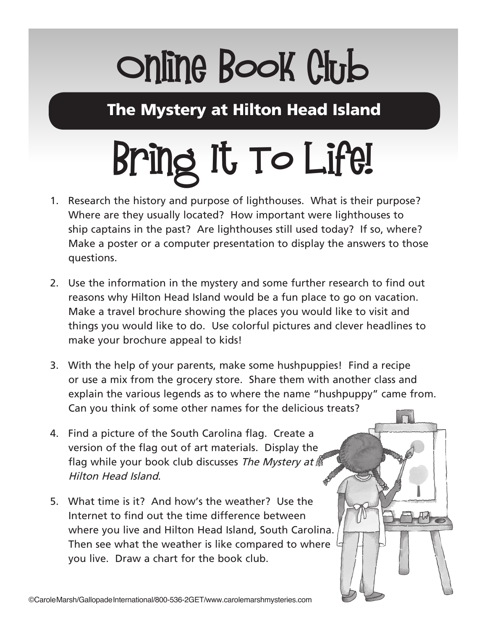# Online Book Club

The Mystery at Hilton Head Island

# Bring It To Life!

- 1. Research the history and purpose of lighthouses. What is their purpose? Where are they usually located? How important were lighthouses to ship captains in the past? Are lighthouses still used today? If so, where? Make a poster or a computer presentation to display the answers to those questions.
- 2. Use the information in the mystery and some further research to find out reasons why Hilton Head Island would be a fun place to go on vacation. Make a travel brochure showing the places you would like to visit and things you would like to do. Use colorful pictures and clever headlines to make your brochure appeal to kids!
- 3. With the help of your parents, make some hushpuppies! Find a recipe or use a mix from the grocery store. Share them with another class and explain the various legends as to where the name "hushpuppy" came from. Can you think of some other names for the delicious treats?
- 4. Find a picture of the South Carolina flag. Create a version of the flag out of art materials. Display the flag while your book club discusses The Mystery at  $\beta$ Hilton Head Island.
- 5. What time is it? And how's the weather? Use the Internet to find out the time difference between where you live and Hilton Head Island, South Carolina. Then see what the weather is like compared to where you live. Draw a chart for the book club.

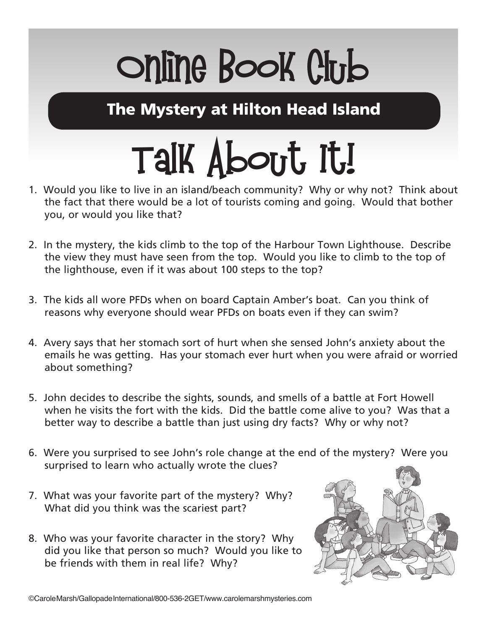# Online Book Club

The Mystery at Hilton Head Island

# Talk About It!

- 1. Would you like to live in an island/beach community? Why or why not? Think about the fact that there would be a lot of tourists coming and going. Would that bother you, or would you like that?
- 2. In the mystery, the kids climb to the top of the Harbour Town Lighthouse. Describe the view they must have seen from the top. Would you like to climb to the top of the lighthouse, even if it was about 100 steps to the top?
- 3. The kids all wore PFDs when on board Captain Amber's boat. Can you think of reasons why everyone should wear PFDs on boats even if they can swim?
- 4. Avery says that her stomach sort of hurt when she sensed John's anxiety about the emails he was getting. Has your stomach ever hurt when you were afraid or worried about something?
- 5. John decides to describe the sights, sounds, and smells of a battle at Fort Howell when he visits the fort with the kids. Did the battle come alive to you? Was that a better way to describe a battle than just using dry facts? Why or why not?
- 6. Were you surprised to see John's role change at the end of the mystery? Were you surprised to learn who actually wrote the clues?
- 7. What was your favorite part of the mystery? Why? What did you think was the scariest part?
- 8. Who was your favorite character in the story? Why did you like that person so much? Would you like to be friends with them in real life? Why?

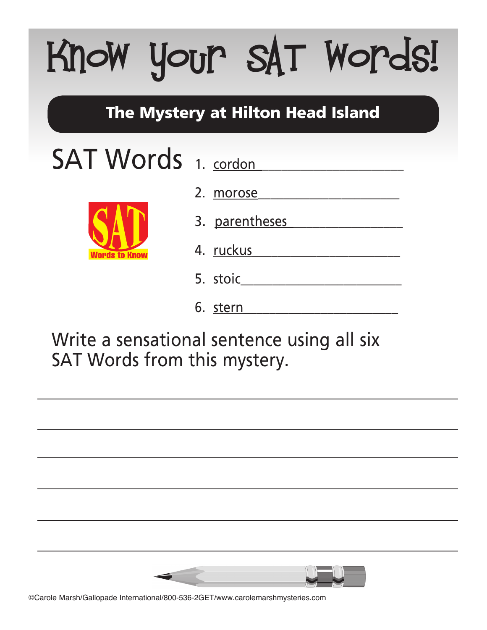# Know your SAT Words!

#### The Mystery at Hilton Head Island

### SAT Words 1. cordon



2. morose

- 3. parentheses
- *A*. <u>ruckus</u>
	- 5. stoic
	- 6. stern\_\_\_\_\_\_\_\_\_\_\_\_\_\_\_\_\_\_\_\_\_\_\_\_

Write a sensational sentence using all six SAT Words from this mystery.